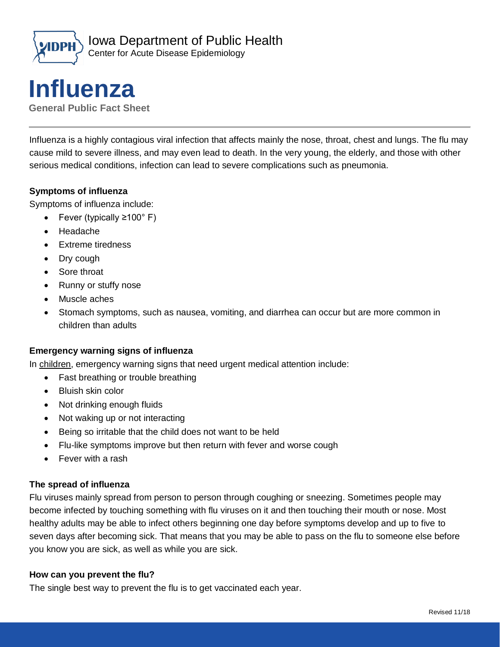



**General Public Fact Sheet**

Influenza is a highly contagious viral infection that affects mainly the nose, throat, chest and lungs. The flu may cause mild to severe illness, and may even lead to death. In the very young, the elderly, and those with other serious medical conditions, infection can lead to severe complications such as pneumonia.

#### **Symptoms of influenza**

Symptoms of influenza include:

- Fever (typically ≥100° F)
- Headache
- Extreme tiredness
- Dry cough
- Sore throat
- Runny or stuffy nose
- Muscle aches
- Stomach symptoms, such as nausea, vomiting, and diarrhea can occur but are more common in children than adults

#### **Emergency warning signs of influenza**

In children, emergency warning signs that need urgent medical attention include:

- Fast breathing or trouble breathing
- Bluish skin color
- Not drinking enough fluids
- Not waking up or not interacting
- Being so irritable that the child does not want to be held
- Flu-like symptoms improve but then return with fever and worse cough
- Fever with a rash

#### **The spread of influenza**

Flu viruses mainly spread from person to person through coughing or sneezing. Sometimes people may become infected by touching something with flu viruses on it and then touching their mouth or nose. Most healthy adults may be able to infect others beginning one day before symptoms develop and up to five to seven days after becoming sick. That means that you may be able to pass on the flu to someone else before you know you are sick, as well as while you are sick.

#### **How can you prevent the flu?**

The single best way to prevent the flu is to get vaccinated each year.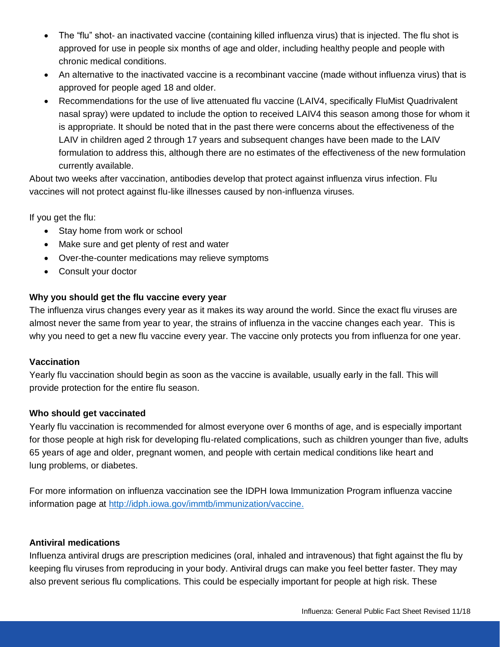- The "flu" shot- an inactivated vaccine (containing killed influenza virus) that is injected. The flu shot is approved for use in people six months of age and older, including healthy people and people with chronic medical conditions.
- An alternative to the inactivated vaccine is a recombinant vaccine (made without influenza virus) that is approved for people aged 18 and older.
- Recommendations for the use of live attenuated flu vaccine (LAIV4, specifically FluMist Quadrivalent nasal spray) were updated to include the option to received LAIV4 this season among those for whom it is appropriate. It should be noted that in the past there were concerns about the effectiveness of the LAIV in children aged 2 through 17 years and subsequent changes have been made to the LAIV formulation to address this, although there are no estimates of the effectiveness of the new formulation currently available.

About two weeks after vaccination, antibodies develop that protect against influenza virus infection. Flu vaccines will not protect against flu-like illnesses caused by non-influenza viruses.

If you get the flu:

- Stay home from work or school
- Make sure and get plenty of rest and water
- Over-the-counter medications may relieve symptoms
- Consult your doctor

## **Why you should get the flu vaccine every year**

The influenza virus changes every year as it makes its way around the world. Since the exact flu viruses are almost never the same from year to year, the strains of influenza in the vaccine changes each year. This is why you need to get a new flu vaccine every year. The vaccine only protects you from influenza for one year.

## **Vaccination**

Yearly flu vaccination should begin as soon as the vaccine is available, usually early in the fall. This will provide protection for the entire flu season.

## **Who should get vaccinated**

Yearly flu vaccination is recommended for almost everyone over 6 months of age, and is especially important for those people at high risk for developing flu-related complications, such as children younger than five, adults 65 years of age and older, pregnant women, and people with certain medical conditions like heart and lung problems, or diabetes.

For more information on influenza vaccination see the IDPH Iowa Immunization Program influenza vaccine information page at http://idph.iowa.gov/immtb/immunization/vaccine.

## **Antiviral medications**

Influenza antiviral drugs are prescription medicines (oral, inhaled and intravenous) that fight against the flu by keeping flu viruses from reproducing in your body. Antiviral drugs can make you feel better faster. They may also prevent serious flu complications. This could be especially important for people at high risk. These